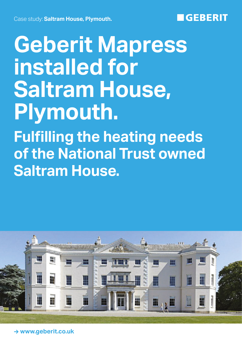## **GEBERIT**

# **Geberit Mapress installed for Saltram House, Plymouth.**

**Fulfilling the heating needs of the National Trust owned Saltram House.**



**→ www.geberit.co.uk**